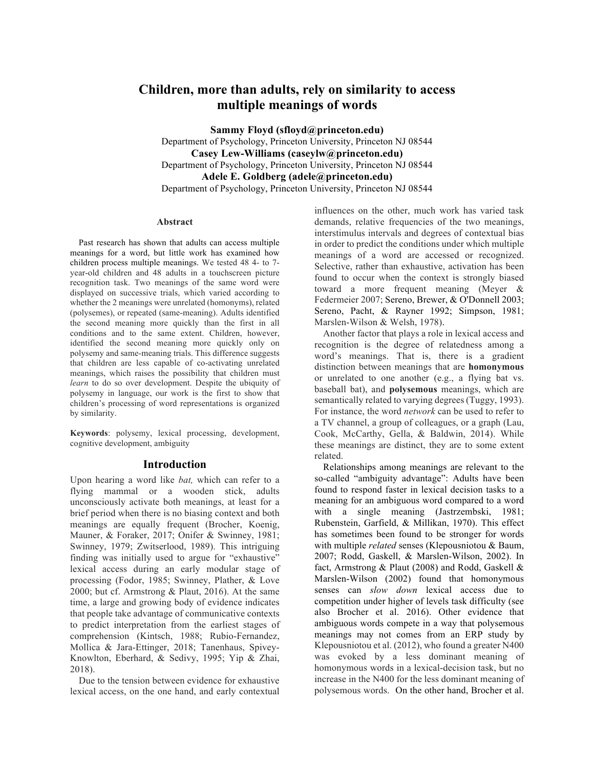# **Children, more than adults, rely on similarity to access multiple meanings of words**

**Sammy Floyd (sfloyd@princeton.edu)** Department of Psychology, Princeton University, Princeton NJ 08544 **Casey Lew-Williams (caseylw@princeton.edu)** Department of Psychology, Princeton University, Princeton NJ 08544 **Adele E. Goldberg (adele@princeton.edu)** Department of Psychology, Princeton University, Princeton NJ 08544

#### **Abstract**

Past research has shown that adults can access multiple meanings for a word, but little work has examined how children process multiple meanings. We tested 48 4- to 7 year-old children and 48 adults in a touchscreen picture recognition task. Two meanings of the same word were displayed on successive trials, which varied according to whether the 2 meanings were unrelated (homonyms), related (polysemes), or repeated (same-meaning). Adults identified the second meaning more quickly than the first in all conditions and to the same extent. Children, however, identified the second meaning more quickly only on polysemy and same-meaning trials. This difference suggests that children are less capable of co-activating unrelated meanings, which raises the possibility that children must *learn* to do so over development. Despite the ubiquity of polysemy in language, our work is the first to show that children's processing of word representations is organized by similarity.

**Keywords**: polysemy, lexical processing, development, cognitive development, ambiguity

#### **Introduction**

Upon hearing a word like *bat,* which can refer to a flying mammal or a wooden stick, adults unconsciously activate both meanings, at least for a brief period when there is no biasing context and both meanings are equally frequent (Brocher, Koenig, Mauner, & Foraker, 2017; Onifer & Swinney, 1981; Swinney, 1979; Zwitserlood, 1989). This intriguing finding was initially used to argue for "exhaustive" lexical access during an early modular stage of processing (Fodor, 1985; Swinney, Plather, & Love 2000; but cf. Armstrong & Plaut, 2016). At the same time, a large and growing body of evidence indicates that people take advantage of communicative contexts to predict interpretation from the earliest stages of comprehension (Kintsch, 1988; Rubio-Fernandez, Mollica & Jara-Ettinger, 2018; Tanenhaus, Spivey-Knowlton, Eberhard, & Sedivy, 1995; Yip & Zhai, 2018).

Due to the tension between evidence for exhaustive lexical access, on the one hand, and early contextual influences on the other, much work has varied task demands, relative frequencies of the two meanings, interstimulus intervals and degrees of contextual bias in order to predict the conditions under which multiple meanings of a word are accessed or recognized. Selective, rather than exhaustive, activation has been found to occur when the context is strongly biased toward a more frequent meaning (Meyer & Federmeier 2007; Sereno, Brewer, & O'Donnell 2003; Sereno, Pacht, & Rayner 1992; Simpson, 1981; Marslen-Wilson & Welsh, 1978).

Another factor that plays a role in lexical access and recognition is the degree of relatedness among a word's meanings. That is, there is a gradient distinction between meanings that are **homonymous** or unrelated to one another (e.g., a flying bat vs. baseball bat), and **polysemous** meanings, which are semantically related to varying degrees (Tuggy, 1993). For instance, the word *network* can be used to refer to a TV channel, a group of colleagues, or a graph (Lau, Cook, McCarthy, Gella, & Baldwin, 2014). While these meanings are distinct, they are to some extent related.

Relationships among meanings are relevant to the so-called "ambiguity advantage": Adults have been found to respond faster in lexical decision tasks to a meaning for an ambiguous word compared to a word with a single meaning (Jastrzembski, 1981; Rubenstein, Garfield, & Millikan, 1970). This effect has sometimes been found to be stronger for words with multiple *related* senses (Klepousniotou & Baum, 2007; Rodd, Gaskell, & Marslen-Wilson, 2002). In fact, Armstrong & Plaut (2008) and Rodd, Gaskell & Marslen-Wilson (2002) found that homonymous senses can *slow down* lexical access due to competition under higher of levels task difficulty (see also Brocher et al. 2016). Other evidence that ambiguous words compete in a way that polysemous meanings may not comes from an ERP study by Klepousniotou et al. (2012), who found a greater N400 was evoked by a less dominant meaning of homonymous words in a lexical-decision task, but no increase in the N400 for the less dominant meaning of polysemous words. On the other hand, Brocher et al.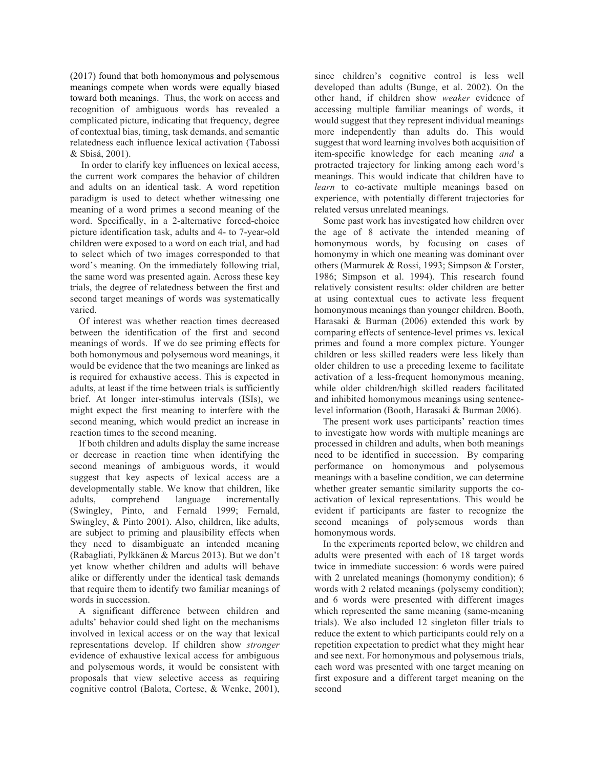(2017) found that both homonymous and polysemous meanings compete when words were equally biased toward both meanings. Thus, the work on access and recognition of ambiguous words has revealed a complicated picture, indicating that frequency, degree of contextual bias, timing, task demands, and semantic relatedness each influence lexical activation (Tabossi & Sbisá, 2001).

In order to clarify key influences on lexical access, the current work compares the behavior of children and adults on an identical task. A word repetition paradigm is used to detect whether witnessing one meaning of a word primes a second meaning of the word. Specifically, in a 2-alternative forced-choice picture identification task, adults and 4- to 7-year-old children were exposed to a word on each trial, and had to select which of two images corresponded to that word's meaning. On the immediately following trial, the same word was presented again. Across these key trials, the degree of relatedness between the first and second target meanings of words was systematically varied.

Of interest was whether reaction times decreased between the identification of the first and second meanings of words. If we do see priming effects for both homonymous and polysemous word meanings, it would be evidence that the two meanings are linked as is required for exhaustive access. This is expected in adults, at least if the time between trials is sufficiently brief. At longer inter-stimulus intervals (ISIs), we might expect the first meaning to interfere with the second meaning, which would predict an increase in reaction times to the second meaning.

If both children and adults display the same increase or decrease in reaction time when identifying the second meanings of ambiguous words, it would suggest that key aspects of lexical access are a developmentally stable. We know that children, like adults, comprehend language incrementally (Swingley, Pinto, and Fernald 1999; Fernald, Swingley, & Pinto 2001). Also, children, like adults, are subject to priming and plausibility effects when they need to disambiguate an intended meaning (Rabagliati, Pylkkänen & Marcus 2013). But we don't yet know whether children and adults will behave alike or differently under the identical task demands that require them to identify two familiar meanings of words in succession.

A significant difference between children and adults' behavior could shed light on the mechanisms involved in lexical access or on the way that lexical representations develop. If children show *stronger* evidence of exhaustive lexical access for ambiguous and polysemous words, it would be consistent with proposals that view selective access as requiring cognitive control (Balota, Cortese, & Wenke, 2001),

since children's cognitive control is less well developed than adults (Bunge, et al. 2002). On the other hand, if children show *weaker* evidence of accessing multiple familiar meanings of words, it would suggest that they represent individual meanings more independently than adults do. This would suggest that word learning involves both acquisition of item-specific knowledge for each meaning *and* a protracted trajectory for linking among each word's meanings. This would indicate that children have to *learn* to co-activate multiple meanings based on experience, with potentially different trajectories for related versus unrelated meanings.

Some past work has investigated how children over the age of 8 activate the intended meaning of homonymous words, by focusing on cases of homonymy in which one meaning was dominant over others (Marmurek & Rossi, 1993; Simpson & Forster, 1986; Simpson et al. 1994). This research found relatively consistent results: older children are better at using contextual cues to activate less frequent homonymous meanings than younger children. Booth, Harasaki & Burman (2006) extended this work by comparing effects of sentence-level primes vs. lexical primes and found a more complex picture. Younger children or less skilled readers were less likely than older children to use a preceding lexeme to facilitate activation of a less-frequent homonymous meaning, while older children/high skilled readers facilitated and inhibited homonymous meanings using sentencelevel information (Booth, Harasaki & Burman 2006).

The present work uses participants' reaction times to investigate how words with multiple meanings are processed in children and adults, when both meanings need to be identified in succession. By comparing performance on homonymous and polysemous meanings with a baseline condition, we can determine whether greater semantic similarity supports the coactivation of lexical representations. This would be evident if participants are faster to recognize the second meanings of polysemous words than homonymous words.

In the experiments reported below, we children and adults were presented with each of 18 target words twice in immediate succession: 6 words were paired with 2 unrelated meanings (homonymy condition); 6 words with 2 related meanings (polysemy condition); and 6 words were presented with different images which represented the same meaning (same-meaning trials). We also included 12 singleton filler trials to reduce the extent to which participants could rely on a repetition expectation to predict what they might hear and see next. For homonymous and polysemous trials, each word was presented with one target meaning on first exposure and a different target meaning on the second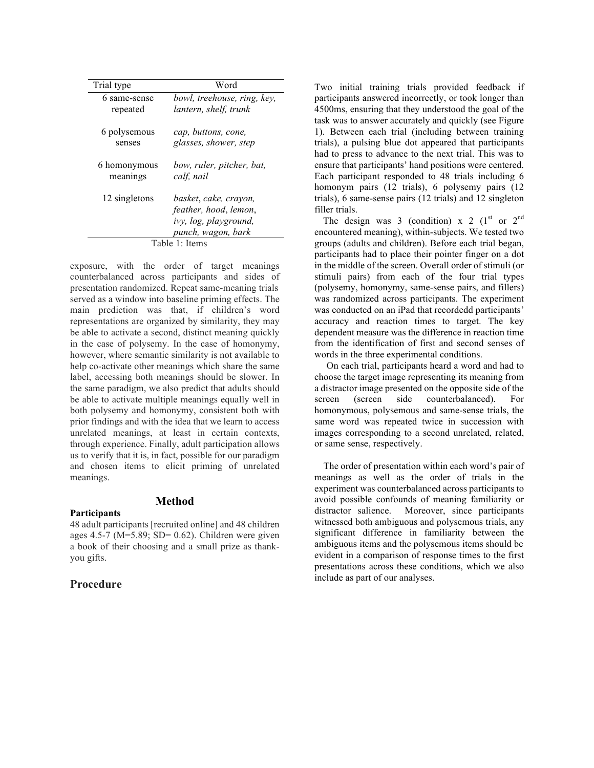| Trial type     | Word                                                                                          |
|----------------|-----------------------------------------------------------------------------------------------|
| 6 same-sense   | bowl, treehouse, ring, key,                                                                   |
| repeated       | lantern, shelf, trunk                                                                         |
| 6 polysemous   | cap, buttons, cone,                                                                           |
| senses         | glasses, shower, step                                                                         |
| 6 homonymous   | bow, ruler, pitcher, bat,                                                                     |
| meanings       | calf, nail                                                                                    |
| 12 singletons  | basket, cake, crayon,<br>feather, hood, lemon,<br>ivy, log, playground,<br>punch, wagon, bark |
| Table 1: Items |                                                                                               |

exposure, with the order of target meanings counterbalanced across participants and sides of presentation randomized. Repeat same-meaning trials served as a window into baseline priming effects. The main prediction was that, if children's word representations are organized by similarity, they may be able to activate a second, distinct meaning quickly in the case of polysemy. In the case of homonymy, however, where semantic similarity is not available to help co-activate other meanings which share the same label, accessing both meanings should be slower. In the same paradigm, we also predict that adults should be able to activate multiple meanings equally well in both polysemy and homonymy, consistent both with prior findings and with the idea that we learn to access unrelated meanings, at least in certain contexts, through experience. Finally, adult participation allows us to verify that it is, in fact, possible for our paradigm and chosen items to elicit priming of unrelated meanings.

## **Method**

## **Participants**

48 adult participants [recruited online] and 48 children ages 4.5-7 ( $M=5.89$ ; SD= 0.62). Children were given a book of their choosing and a small prize as thankyou gifts.

## **Procedure**

Two initial training trials provided feedback if participants answered incorrectly, or took longer than 4500ms, ensuring that they understood the goal of the task was to answer accurately and quickly (see Figure 1). Between each trial (including between training trials), a pulsing blue dot appeared that participants had to press to advance to the next trial. This was to ensure that participants' hand positions were centered. Each participant responded to 48 trials including 6 homonym pairs (12 trials), 6 polysemy pairs (12 trials), 6 same-sense pairs (12 trials) and 12 singleton filler trials.

The design was 3 (condition) x 2  $(1<sup>st</sup> or 2<sup>nd</sup>)$ encountered meaning), within-subjects. We tested two groups (adults and children). Before each trial began, participants had to place their pointer finger on a dot in the middle of the screen. Overall order of stimuli (or stimuli pairs) from each of the four trial types (polysemy, homonymy, same-sense pairs, and fillers) was randomized across participants. The experiment was conducted on an iPad that recordedd participants' accuracy and reaction times to target. The key dependent measure was the difference in reaction time from the identification of first and second senses of words in the three experimental conditions.

 On each trial, participants heard a word and had to choose the target image representing its meaning from a distractor image presented on the opposite side of the screen (screen side counterbalanced). For homonymous, polysemous and same-sense trials, the same word was repeated twice in succession with images corresponding to a second unrelated, related, or same sense, respectively.

The order of presentation within each word's pair of meanings as well as the order of trials in the experiment was counterbalanced across participants to avoid possible confounds of meaning familiarity or distractor salience. Moreover, since participants witnessed both ambiguous and polysemous trials, any significant difference in familiarity between the ambiguous items and the polysemous items should be evident in a comparison of response times to the first presentations across these conditions, which we also include as part of our analyses.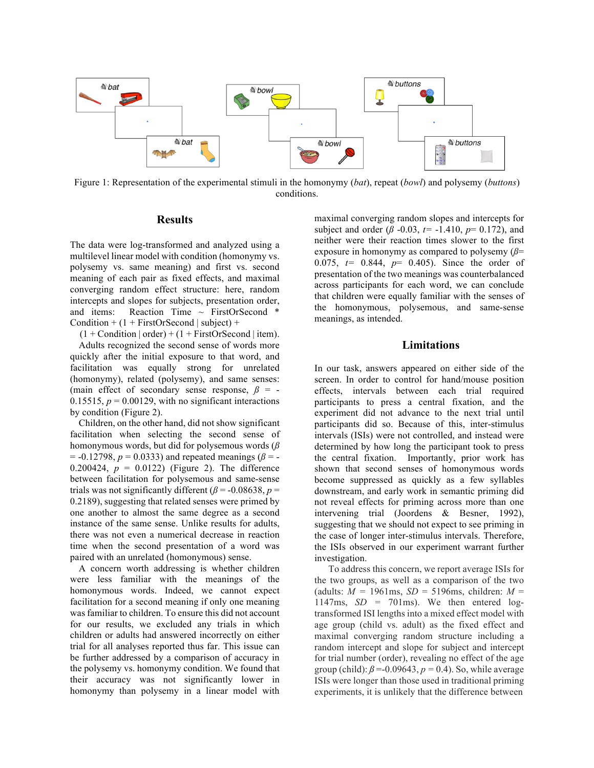

Figure 1: Representation of the experimental stimuli in the homonymy (*bat*), repeat (*bowl*) and polysemy (*buttons*) conditions.

## **Results**

The data were log-transformed and analyzed using a multilevel linear model with condition (homonymy vs. polysemy vs. same meaning) and first vs. second meaning of each pair as fixed effects, and maximal converging random effect structure: here, random intercepts and slopes for subjects, presentation order, and items: Reaction Time  $\sim$  FirstOrSecond  $*$ Condition +  $(1 + FirstOrSecond | subject) +$ 

 $(1 + Condition | order) + (1 + FirstOrSecond | item).$ 

Adults recognized the second sense of words more quickly after the initial exposure to that word, and facilitation was equally strong for unrelated (homonymy), related (polysemy), and same senses: (main effect of secondary sense response,  $\beta$  = -0.15515,  $p = 0.00129$ , with no significant interactions by condition (Figure 2).

Children, on the other hand, did not show significant facilitation when selecting the second sense of homonymous words, but did for polysemous words (*ß*  $= -0.12798$ ,  $p = 0.0333$ ) and repeated meanings ( $\beta = -$ 0.200424,  $p = 0.0122$ ) (Figure 2). The difference between facilitation for polysemous and same-sense trials was not significantly different ( $\beta$  = -0.08638, *p* = 0.2189), suggesting that related senses were primed by one another to almost the same degree as a second instance of the same sense. Unlike results for adults, there was not even a numerical decrease in reaction time when the second presentation of a word was paired with an unrelated (homonymous) sense.

A concern worth addressing is whether children were less familiar with the meanings of the homonymous words. Indeed, we cannot expect facilitation for a second meaning if only one meaning was familiar to children. To ensure this did not account for our results, we excluded any trials in which children or adults had answered incorrectly on either trial for all analyses reported thus far. This issue can be further addressed by a comparison of accuracy in the polysemy vs. homonymy condition. We found that their accuracy was not significantly lower in homonymy than polysemy in a linear model with

maximal converging random slopes and intercepts for subject and order ( $\beta$  -0.03,  $t=$  -1.410,  $p=$  0.172), and neither were their reaction times slower to the first exposure in homonymy as compared to polysemy (*ß*= 0.075, *t=* 0.844, *p*= 0.405). Since the order of presentation of the two meanings was counterbalanced across participants for each word, we can conclude that children were equally familiar with the senses of the homonymous, polysemous, and same-sense meanings, as intended.

## **Limitations**

In our task, answers appeared on either side of the screen. In order to control for hand/mouse position effects, intervals between each trial required participants to press a central fixation, and the experiment did not advance to the next trial until participants did so. Because of this, inter-stimulus intervals (ISIs) were not controlled, and instead were determined by how long the participant took to press the central fixation. Importantly, prior work has shown that second senses of homonymous words become suppressed as quickly as a few syllables downstream, and early work in semantic priming did not reveal effects for priming across more than one intervening trial (Joordens & Besner, 1992), suggesting that we should not expect to see priming in the case of longer inter-stimulus intervals. Therefore, the ISIs observed in our experiment warrant further investigation.

To address this concern, we report average ISIs for the two groups, as well as a comparison of the two (adults:  $M = 1961$ ms,  $SD = 5196$ ms, children:  $M =$ 1147ms, *SD =* 701ms). We then entered logtransformed ISI lengths into a mixed effect model with age group (child vs. adult) as the fixed effect and maximal converging random structure including a random intercept and slope for subject and intercept for trial number (order), revealing no effect of the age group (child):  $\beta$  =-0.09643,  $p = 0.4$ ). So, while average ISIs were longer than those used in traditional priming experiments, it is unlikely that the difference between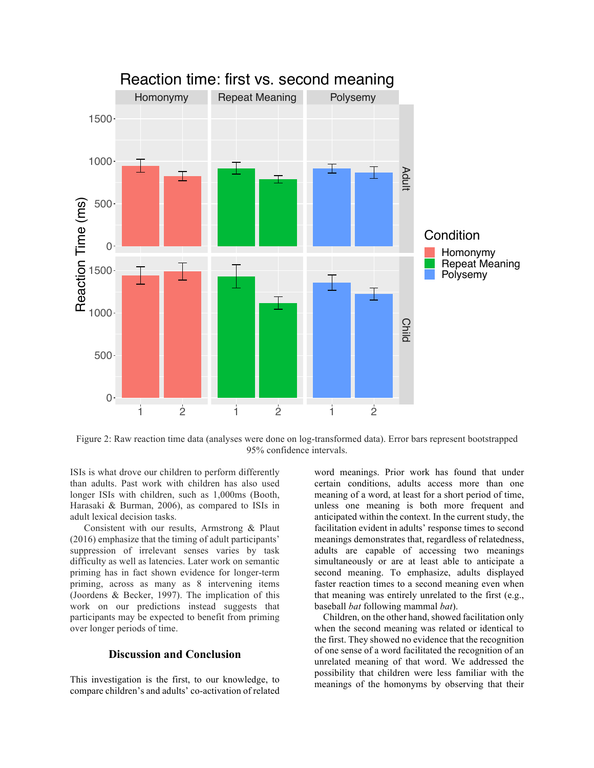

Figure 2: Raw reaction time data (analyses were done on log-transformed data). Error bars represent bootstrapped 95% confidence intervals.

ISIs is what drove our children to perform differently than adults. Past work with children has also used longer ISIs with children, such as 1,000ms (Booth, Harasaki & Burman, 2006), as compared to ISIs in adult lexical decision tasks.

Consistent with our results, Armstrong & Plaut (2016) emphasize that the timing of adult participants' suppression of irrelevant senses varies by task difficulty as well as latencies. Later work on semantic priming has in fact shown evidence for longer-term priming, across as many as 8 intervening items (Joordens & Becker, 1997). The implication of this work on our predictions instead suggests that participants may be expected to benefit from priming over longer periods of time.

# **Discussion and Conclusion**

This investigation is the first, to our knowledge, to compare children's and adults' co-activation of related word meanings. Prior work has found that under certain conditions, adults access more than one meaning of a word, at least for a short period of time, unless one meaning is both more frequent and anticipated within the context. In the current study, the facilitation evident in adults' response times to second meanings demonstrates that, regardless of relatedness, adults are capable of accessing two meanings simultaneously or are at least able to anticipate a second meaning. To emphasize, adults displayed faster reaction times to a second meaning even when that meaning was entirely unrelated to the first (e.g., baseball *bat* following mammal *bat*).

Children, on the other hand, showed facilitation only when the second meaning was related or identical to the first. They showed no evidence that the recognition of one sense of a word facilitated the recognition of an unrelated meaning of that word. We addressed the possibility that children were less familiar with the meanings of the homonyms by observing that their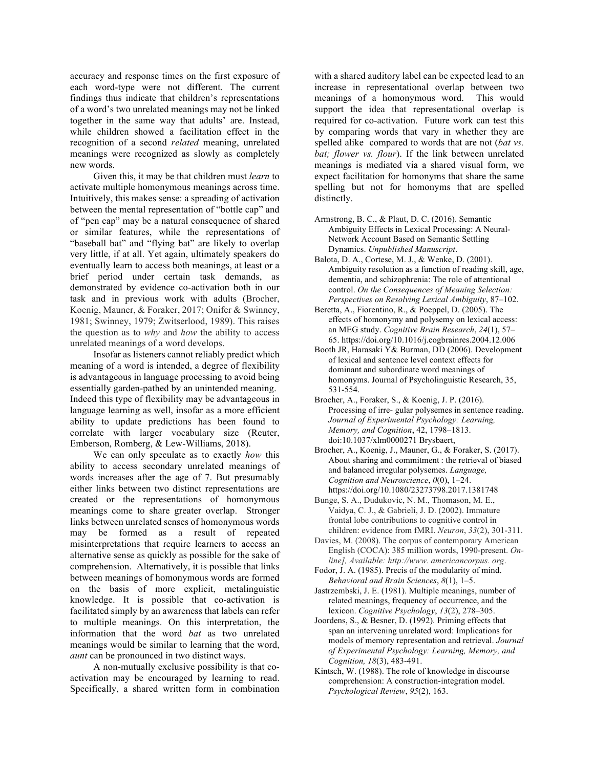accuracy and response times on the first exposure of each word-type were not different. The current findings thus indicate that children's representations of a word's two unrelated meanings may not be linked together in the same way that adults' are. Instead, while children showed a facilitation effect in the recognition of a second *related* meaning, unrelated meanings were recognized as slowly as completely new words.

Given this, it may be that children must *learn* to activate multiple homonymous meanings across time. Intuitively, this makes sense: a spreading of activation between the mental representation of "bottle cap" and of "pen cap" may be a natural consequence of shared or similar features, while the representations of "baseball bat" and "flying bat" are likely to overlap very little, if at all. Yet again, ultimately speakers do eventually learn to access both meanings, at least or a brief period under certain task demands, as demonstrated by evidence co-activation both in our task and in previous work with adults (Brocher, Koenig, Mauner, & Foraker, 2017; Onifer & Swinney, 1981; Swinney, 1979; Zwitserlood, 1989). This raises the question as to *why* and *how* the ability to access unrelated meanings of a word develops.

Insofar as listeners cannot reliably predict which meaning of a word is intended, a degree of flexibility is advantageous in language processing to avoid being essentially garden-pathed by an unintended meaning. Indeed this type of flexibility may be advantageous in language learning as well, insofar as a more efficient ability to update predictions has been found to correlate with larger vocabulary size (Reuter, Emberson, Romberg, & Lew-Williams, 2018).

We can only speculate as to exactly *how* this ability to access secondary unrelated meanings of words increases after the age of 7. But presumably either links between two distinct representations are created or the representations of homonymous meanings come to share greater overlap. Stronger links between unrelated senses of homonymous words may be formed as a result of repeated misinterpretations that require learners to access an alternative sense as quickly as possible for the sake of comprehension. Alternatively, it is possible that links between meanings of homonymous words are formed on the basis of more explicit, metalinguistic knowledge. It is possible that co-activation is facilitated simply by an awareness that labels can refer to multiple meanings. On this interpretation, the information that the word *bat* as two unrelated meanings would be similar to learning that the word, *aunt* can be pronounced in two distinct ways.

A non-mutually exclusive possibility is that coactivation may be encouraged by learning to read. Specifically, a shared written form in combination with a shared auditory label can be expected lead to an increase in representational overlap between two meanings of a homonymous word. This would support the idea that representational overlap is required for co-activation. Future work can test this by comparing words that vary in whether they are spelled alike compared to words that are not (*bat vs. bat; flower vs. flour*). If the link between unrelated meanings is mediated via a shared visual form, we expect facilitation for homonyms that share the same spelling but not for homonyms that are spelled distinctly.

- Armstrong, B. C., & Plaut, D. C. (2016). Semantic Ambiguity Effects in Lexical Processing: A Neural-Network Account Based on Semantic Settling Dynamics. *Unpublished Manuscript*.
- Balota, D. A., Cortese, M. J., & Wenke, D. (2001). Ambiguity resolution as a function of reading skill, age, dementia, and schizophrenia: The role of attentional control. *On the Consequences of Meaning Selection: Perspectives on Resolving Lexical Ambiguity*, 87–102.
- Beretta, A., Fiorentino, R., & Poeppel, D. (2005). The effects of homonymy and polysemy on lexical access: an MEG study. *Cognitive Brain Research*, *24*(1), 57– 65. https://doi.org/10.1016/j.cogbrainres.2004.12.006
- Booth JR, Harasaki Y& Burman, DD (2006). Development of lexical and sentence level context effects for dominant and subordinate word meanings of homonyms. Journal of Psycholinguistic Research, 35, 531-554.
- Brocher, A., Foraker, S., & Koenig, J. P. (2016). Processing of irre- gular polysemes in sentence reading. *Journal of Experimental Psychology: Learning, Memory, and Cognition*, 42, 1798–1813. doi:10.1037/xlm0000271 Brysbaert,
- Brocher, A., Koenig, J., Mauner, G., & Foraker, S. (2017). About sharing and commitment : the retrieval of biased and balanced irregular polysemes. *Language, Cognition and Neuroscience*, *0*(0), 1–24. https://doi.org/10.1080/23273798.2017.1381748
- Bunge, S. A., Dudukovic, N. M., Thomason, M. E., Vaidya, C. J., & Gabrieli, J. D. (2002). Immature frontal lobe contributions to cognitive control in children: evidence from fMRI. *Neuron*, *33*(2), 301-311.
- Davies, M. (2008). The corpus of contemporary American English (COCA): 385 million words, 1990-present. *Online], Available: http://www. americancorpus. org*.
- Fodor, J. A. (1985). Precis of the modularity of mind. *Behavioral and Brain Sciences*, *8*(1), 1–5.
- Jastrzembski, J. E. (1981). Multiple meanings, number of related meanings, frequency of occurrence, and the lexicon. *Cognitive Psychology*, *13*(2), 278–305.
- Joordens, S., & Besner, D. (1992). Priming effects that span an intervening unrelated word: Implications for models of memory representation and retrieval. *Journal of Experimental Psychology: Learning, Memory, and Cognition, 18*(3), 483-491.
- Kintsch, W. (1988). The role of knowledge in discourse comprehension: A construction-integration model. *Psychological Review*, *95*(2), 163.